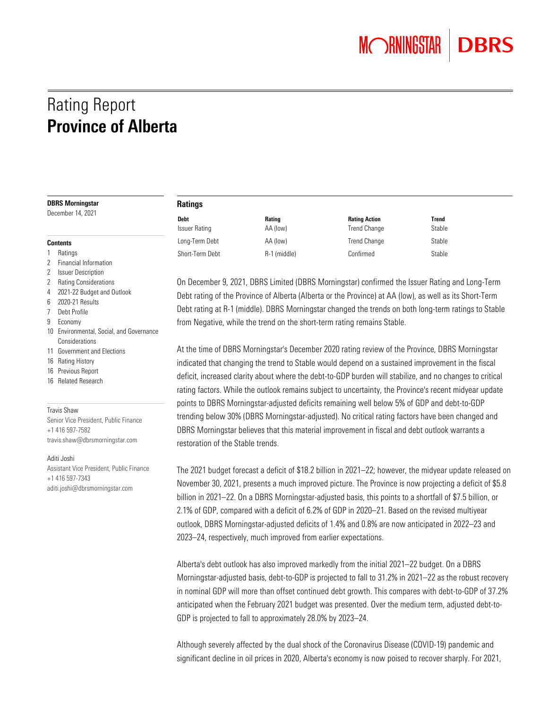**MORNINGSTAR DBRS** 

# Rating Report Province of Alberta

#### DBRS Morningstar

December 14, 2021

 Financial Information Issuer Description Rating Considerations 2021-22 Budget and Outlook

6 2020-21 Results 7 Debt Profile 9 Economy

**Considerations** 11 Government and Elections

16 Rating History 16 Previous Report 16 Related Research

Travis Shaw

**Contents** 1 Ratings

#### Ratings

| <b>Debt</b>     | Rating       | <b>Rating Action</b> | Trend  |
|-----------------|--------------|----------------------|--------|
| Issuer Rating   | AA (low)     | <b>Trend Change</b>  | Stable |
| Long-Term Debt  | AA (low)     | <b>Trend Change</b>  | Stable |
| Short-Term Debt | R-1 (middle) | Confirmed            | Stable |

On December 9, 2021, DBRS Limited (DBRS Morningstar) confirmed the Issuer Rating and Long-Term Debt rating of the Province of Alberta (Alberta or the Province) at AA (low), as well as its Short-Term Debt rating at R-1 (middle). DBRS Morningstar changed the trends on both long-term ratings to Stable from Negative, while the trend on the short-term rating remains Stable.

At the time of DBRS Morningstar's December 2020 rating review of the Province, DBRS Morningstar indicated that changing the trend to Stable would depend on a sustained improvement in the fiscal deficit, increased clarity about where the debt-to-GDP burden will stabilize, and no changes to critical rating factors. While the outlook remains subject to uncertainty, the Province's recent midyear update points to DBRS Morningstar-adjusted deficits remaining well below 5% of GDP and debt-to-GDP trending below 30% (DBRS Morningstar-adjusted). No critical rating factors have been changed and DBRS Morningstar believes that this material improvement in fiscal and debt outlook warrants a restoration of the Stable trends.

The 2021 budget forecast a deficit of \$18.2 billion in 2021–22; however, the midyear update released on November 30, 2021, presents a much improved picture. The Province is now projecting a deficit of \$5.8 billion in 2021–22. On a DBRS Morningstar-adjusted basis, this points to a shortfall of \$7.5 billion, or 2.1% of GDP, compared with a deficit of 6.2% of GDP in 2020–21. Based on the revised multiyear outlook, DBRS Morningstar-adjusted deficits of 1.4% and 0.8% are now anticipated in 2022–23 and 2023–24, respectively, much improved from earlier expectations.

Alberta's debt outlook has also improved markedly from the initial 2021–22 budget. On a DBRS Morningstar-adjusted basis, debt-to-GDP is projected to fall to 31.2% in 2021–22 as the robust recovery in nominal GDP will more than offset continued debt growth. This compares with debt-to-GDP of 37.2% anticipated when the February 2021 budget was presented. Over the medium term, adjusted debt-to-GDP is projected to fall to approximately 28.0% by 2023–24.

Although severely affected by the dual shock of the Coronavirus Disease (COVID-19) pandemic and significant decline in oil prices in 2020, Alberta's economy is now poised to recover sharply. For 2021,

Senior Vice President, Public Finance +1 416 597-7582 [travis.shaw@dbrsmorningstar.com](mailto:travis.shaw@dbrsmorningstar.com) Aditi Joshi

10 Environmental, Social, and Governance

Assistant Vice President, Public Finance +1 416 597-7343 [aditi.joshi@dbrsmorningstar.com](mailto:aditi.joshi@dbrsmorningstar.com)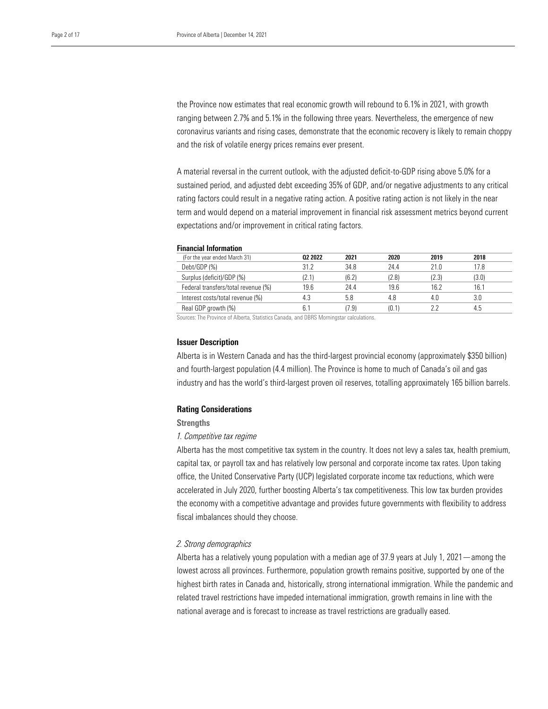the Province now estimates that real economic growth will rebound to 6.1% in 2021, with growth ranging between 2.7% and 5.1% in the following three years. Nevertheless, the emergence of new coronavirus variants and rising cases, demonstrate that the economic recovery is likely to remain choppy and the risk of volatile energy prices remains ever present.

A material reversal in the current outlook, with the adjusted deficit-to-GDP rising above 5.0% for a sustained period, and adjusted debt exceeding 35% of GDP, and/or negative adjustments to any critical rating factors could result in a negative rating action. A positive rating action is not likely in the near term and would depend on a material improvement in financial risk assessment metrics beyond current expectations and/or improvement in critical rating factors.

#### Financial Information

| (For the year ended March 31)       | 02 2022 | 2021  | 2020  | 2019  | 2018  |
|-------------------------------------|---------|-------|-------|-------|-------|
| Debt/GDP(%)                         | 312     | 34.8  | 24.4  | 21.0  | 17.8  |
| Surplus (deficit)/GDP (%)           | (2.1)   | (6.2) | (2.8) | (2.3) | (3.0) |
| Federal transfers/total revenue (%) | 19.6    | 24.4  | 19.6  | 16.2  | 16.1  |
| Interest costs/total revenue (%)    |         | 5.8   | 4.8   | 4.0   |       |
| Real GDP growth (%)                 |         | 7.9   | (0.1) |       |       |

Sources: The Province of Alberta, Statistics Canada, and DBRS Morningstar calculations.

#### Issuer Description

Alberta is in Western Canada and has the third-largest provincial economy (approximately \$350 billion) and fourth-largest population (4.4 million). The Province is home to much of Canada's oil and gas industry and has the world's third-largest proven oil reserves, totalling approximately 165 billion barrels.

#### Rating Considerations

#### **Strengths**

#### *1. Competitive tax regime*

Alberta has the most competitive tax system in the country. It does not levy a sales tax, health premium, capital tax, or payroll tax and has relatively low personal and corporate income tax rates. Upon taking office, the United Conservative Party (UCP) legislated corporate income tax reductions, which were accelerated in July 2020, further boosting Alberta's tax competitiveness. This low tax burden provides the economy with a competitive advantage and provides future governments with flexibility to address fiscal imbalances should they choose.

### *2. Strong demographics*

Alberta has a relatively young population with a median age of 37.9 years at July 1, 2021—among the lowest across all provinces. Furthermore, population growth remains positive, supported by one of the highest birth rates in Canada and, historically, strong international immigration. While the pandemic and related travel restrictions have impeded international immigration, growth remains in line with the national average and is forecast to increase as travel restrictions are gradually eased.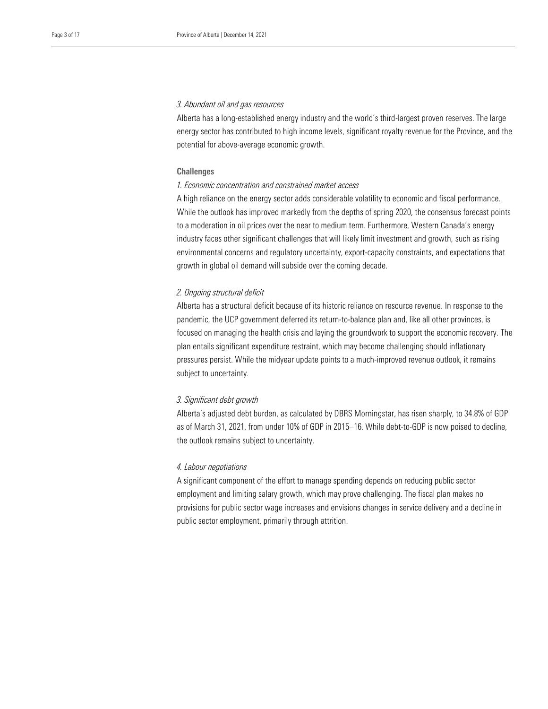#### *3. Abundant oil and gas resources*

Alberta has a long-established energy industry and the world's third-largest proven reserves. The large energy sector has contributed to high income levels, significant royalty revenue for the Province, and the potential for above-average economic growth.

#### **Challenges**

# *1. Economic concentration and constrained market access*

A high reliance on the energy sector adds considerable volatility to economic and fiscal performance. While the outlook has improved markedly from the depths of spring 2020, the consensus forecast points to a moderation in oil prices over the near to medium term. Furthermore, Western Canada's energy industry faces other significant challenges that will likely limit investment and growth, such as rising environmental concerns and regulatory uncertainty, export-capacity constraints, and expectations that growth in global oil demand will subside over the coming decade.

#### *2. Ongoing structural deficit*

Alberta has a structural deficit because of its historic reliance on resource revenue. In response to the pandemic, the UCP government deferred its return-to-balance plan and, like all other provinces, is focused on managing the health crisis and laying the groundwork to support the economic recovery. The plan entails significant expenditure restraint, which may become challenging should inflationary pressures persist. While the midyear update points to a much-improved revenue outlook, it remains subject to uncertainty.

#### *3. Significant debt growth*

Alberta's adjusted debt burden, as calculated by DBRS Morningstar, has risen sharply, to 34.8% of GDP as of March 31, 2021, from under 10% of GDP in 2015–16. While debt-to-GDP is now poised to decline, the outlook remains subject to uncertainty.

### *4. Labour negotiations*

A significant component of the effort to manage spending depends on reducing public sector employment and limiting salary growth, which may prove challenging. The fiscal plan makes no provisions for public sector wage increases and envisions changes in service delivery and a decline in public sector employment, primarily through attrition.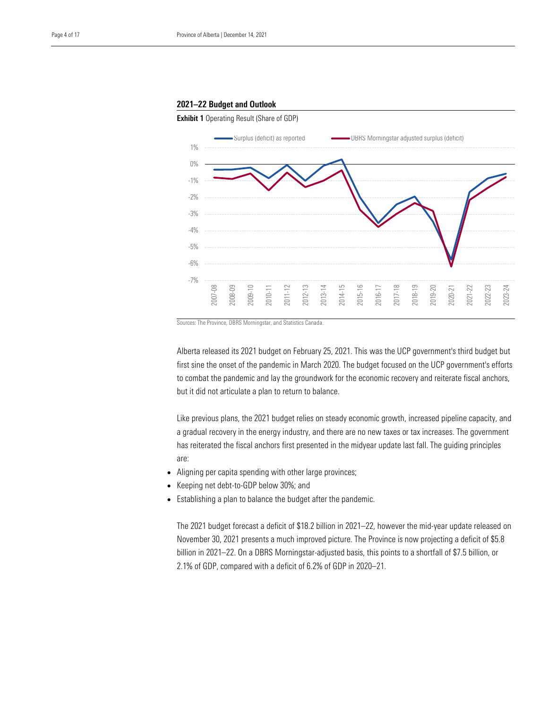#### 2021–22 Budget and Outlook



Sources: The Province, DBRS Morningstar, and Statistics Canada.

Alberta released its 2021 budget on February 25, 2021. This was the UCP government's third budget but first sine the onset of the pandemic in March 2020. The budget focused on the UCP government's efforts to combat the pandemic and lay the groundwork for the economic recovery and reiterate fiscal anchors, but it did not articulate a plan to return to balance.

Like previous plans, the 2021 budget relies on steady economic growth, increased pipeline capacity, and a gradual recovery in the energy industry, and there are no new taxes or tax increases. The government has reiterated the fiscal anchors first presented in the midyear update last fall. The guiding principles are:

- Aligning per capita spending with other large provinces;
- Keeping net debt-to-GDP below 30%; and
- Establishing a plan to balance the budget after the pandemic.

The 2021 budget forecast a deficit of \$18.2 billion in 2021–22, however the mid-year update released on November 30, 2021 presents a much improved picture. The Province is now projecting a deficit of \$5.8 billion in 2021–22. On a DBRS Morningstar-adjusted basis, this points to a shortfall of \$7.5 billion, or 2.1% of GDP, compared with a deficit of 6.2% of GDP in 2020–21.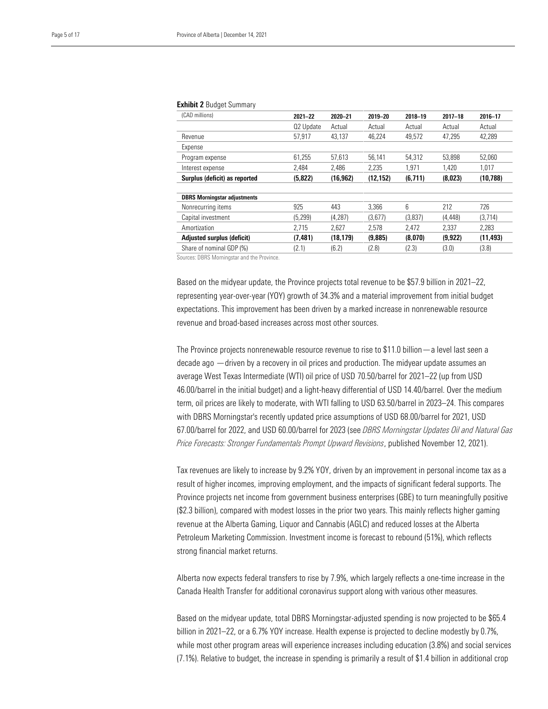#### Exhibit 2 Budget Summary

| (CAD millions)                      | $2021 - 22$ | 2020-21   | 2019-20   | $2018 - 19$ | $2017 - 18$ | 2016-17   |
|-------------------------------------|-------------|-----------|-----------|-------------|-------------|-----------|
|                                     | Q2 Update   | Actual    | Actual    | Actual      | Actual      | Actual    |
| Revenue                             | 57,917      | 43,137    | 46,224    | 49,572      | 47,295      | 42,289    |
| Expense                             |             |           |           |             |             |           |
| Program expense                     | 61,255      | 57,613    | 56,141    | 54.312      | 53.898      | 52,060    |
| Interest expense                    | 2.484       | 2.486     | 2.235     | 1.971       | 1,420       | 1,017     |
| Surplus (deficit) as reported       | (5,822)     | (16, 962) | (12, 152) | (6,711)     | (8,023)     | (10, 788) |
|                                     |             |           |           |             |             |           |
| <b>DBRS Morningstar adjustments</b> |             |           |           |             |             |           |
| Nonrecurring items                  | 925         | 443       | 3.366     | 6           | 212         | 726       |
| Capital investment                  | (5, 299)    | (4, 287)  | (3,677)   | (3,837)     | (4, 448)    | (3,714)   |
| Amortization                        | 2.715       | 2,627     | 2,578     | 2,472       | 2,337       | 2,283     |
| Adjusted surplus (deficit)          | (7, 481)    | (18, 179) | (9,885)   | (8,070)     | (9, 922)    | (11, 493) |
| Share of nominal GDP (%)            | (2.1)       | (6.2)     | (2.8)     | (2.3)       | (3.0)       | (3.8)     |
|                                     |             |           |           |             |             |           |

Sources: DBRS Morningstar and the Province.

Based on the midyear update, the Province projects total revenue to be \$57.9 billion in 2021–22, representing year-over-year (YOY) growth of 34.3% and a material improvement from initial budget expectations. This improvement has been driven by a marked increase in nonrenewable resource revenue and broad-based increases across most other sources.

The Province projects nonrenewable resource revenue to rise to \$11.0 billion—a level last seen a decade ago —driven by a recovery in oil prices and production. The midyear update assumes an average West Texas Intermediate (WTI) oil price of USD 70.50/barrel for 2021–22 (up from USD 46.00/barrel in the initial budget) and a light-heavy differential of USD 14.40/barrel. Over the medium term, oil prices are likely to moderate, with WTI falling to USD 63.50/barrel in 2023–24. This compares with DBRS Morningstar's recently updated price assumptions of USD 68.00/barrel for 2021, USD 67.00/barrel for 2022, and USD 60.00/barrel for 2023 (see *DBRS Morningstar Updates Oil and Natural Gas Price Forecasts: Stronger Fundamentals Prompt Upward Revisions*, published November 12, 2021).

Tax revenues are likely to increase by 9.2% YOY, driven by an improvement in personal income tax as a result of higher incomes, improving employment, and the impacts of significant federal supports. The Province projects net income from government business enterprises (GBE) to turn meaningfully positive (\$2.3 billion), compared with modest losses in the prior two years. This mainly reflects higher gaming revenue at the Alberta Gaming, Liquor and Cannabis (AGLC) and reduced losses at the Alberta Petroleum Marketing Commission. Investment income is forecast to rebound (51%), which reflects strong financial market returns.

Alberta now expects federal transfers to rise by 7.9%, which largely reflects a one-time increase in the Canada Health Transfer for additional coronavirus support along with various other measures.

Based on the midyear update, total DBRS Morningstar-adjusted spending is now projected to be \$65.4 billion in 2021–22, or a 6.7% YOY increase. Health expense is projected to decline modestly by 0.7%, while most other program areas will experience increases including education (3.8%) and social services (7.1%). Relative to budget, the increase in spending is primarily a result of \$1.4 billion in additional crop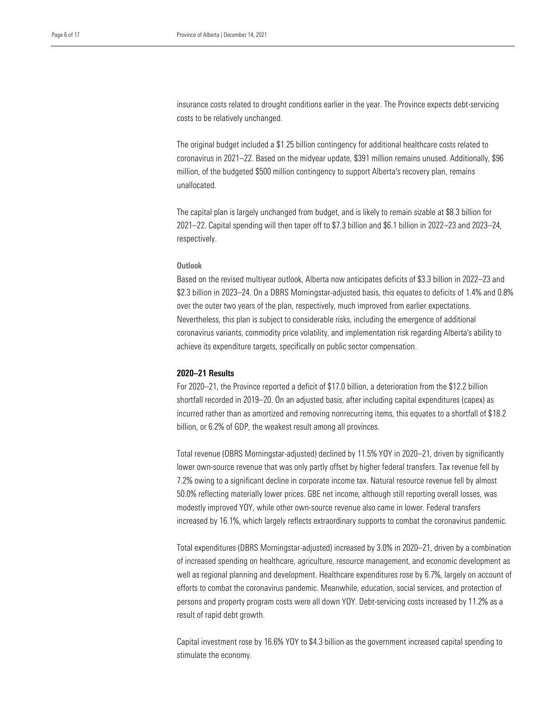insurance costs related to drought conditions earlier in the year. The Province expects debt-servicing costs to be relatively unchanged.

The original budget included a \$1.25 billion contingency for additional healthcare costs related to coronavirus in 2021–22. Based on the midyear update, \$391 million remains unused. Additionally, \$96 million, of the budgeted \$500 million contingency to support Alberta's recovery plan, remains unallocated.

The capital plan is largely unchanged from budget, and is likely to remain sizable at \$8.3 billion for 2021–22. Capital spending will then taper off to \$7.3 billion and \$6.1 billion in 2022–23 and 2023–24, respectively.

# **Outlook**

Based on the revised multiyear outlook, Alberta now anticipates deficits of \$3.3 billion in 2022–23 and \$2.3 billion in 2023–24. On a DBRS Morningstar-adjusted basis, this equates to deficits of 1.4% and 0.8% over the outer two years of the plan, respectively, much improved from earlier expectations. Nevertheless, this plan is subject to considerable risks, including the emergence of additional coronavirus variants, commodity price volatility, and implementation risk regarding Alberta's ability to achieve its expenditure targets, specifically on public sector compensation.

#### 2020–21 Results

For 2020–21, the Province reported a deficit of \$17.0 billion, a deterioration from the \$12.2 billion shortfall recorded in 2019–20. On an adjusted basis, after including capital expenditures (capex) as incurred rather than as amortized and removing nonrecurring items, this equates to a shortfall of \$18.2 billion, or 6.2% of GDP, the weakest result among all provinces.

Total revenue (DBRS Morningstar-adjusted) declined by 11.5% YOY in 2020–21, driven by significantly lower own-source revenue that was only partly offset by higher federal transfers. Tax revenue fell by 7.2% owing to a significant decline in corporate income tax. Natural resource revenue fell by almost 50.0% reflecting materially lower prices. GBE net income, although still reporting overall losses, was modestly improved YOY, while other own-source revenue also came in lower. Federal transfers increased by 16.1%, which largely reflects extraordinary supports to combat the coronavirus pandemic.

Total expenditures (DBRS Morningstar-adjusted) increased by 3.0% in 2020–21, driven by a combination of increased spending on healthcare, agriculture, resource management, and economic development as well as regional planning and development. Healthcare expenditures rose by 6.7%, largely on account of efforts to combat the coronavirus pandemic. Meanwhile, education, social services, and protection of persons and property program costs were all down YOY. Debt-servicing costs increased by 11.2% as a result of rapid debt growth.

Capital investment rose by 16.6% YOY to \$4.3 billion as the government increased capital spending to stimulate the economy.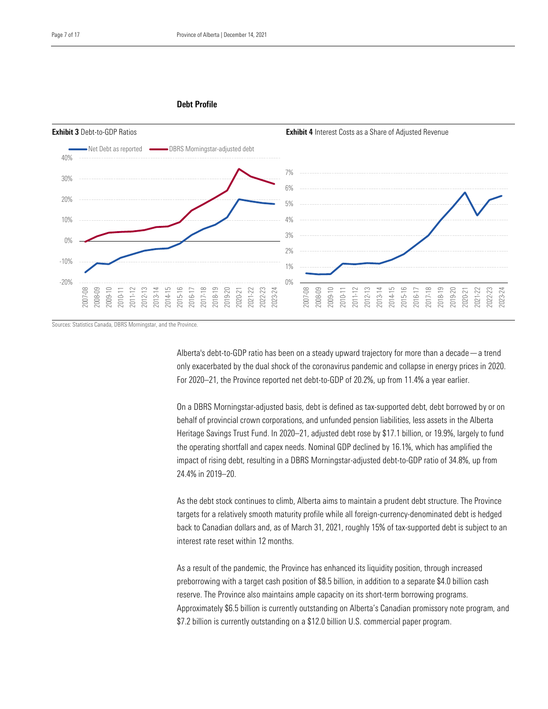### Debt Profile



Sources: Statistics Canada, DBRS Morningstar, and the Province.

Alberta's debt-to-GDP ratio has been on a steady upward trajectory for more than a decade—a trend only exacerbated by the dual shock of the coronavirus pandemic and collapse in energy prices in 2020. For 2020–21, the Province reported net debt-to-GDP of 20.2%, up from 11.4% a year earlier.

On a DBRS Morningstar-adjusted basis, debt is defined as tax-supported debt, debt borrowed by or on behalf of provincial crown corporations, and unfunded pension liabilities, less assets in the Alberta Heritage Savings Trust Fund. In 2020–21, adjusted debt rose by \$17.1 billion, or 19.9%, largely to fund the operating shortfall and capex needs. Nominal GDP declined by 16.1%, which has amplified the impact of rising debt, resulting in a DBRS Morningstar-adjusted debt-to-GDP ratio of 34.8%, up from 24.4% in 2019–20.

As the debt stock continues to climb, Alberta aims to maintain a prudent debt structure. The Province targets for a relatively smooth maturity profile while all foreign-currency-denominated debt is hedged back to Canadian dollars and, as of March 31, 2021, roughly 15% of tax-supported debt is subject to an interest rate reset within 12 months.

As a result of the pandemic, the Province has enhanced its liquidity position, through increased preborrowing with a target cash position of \$8.5 billion, in addition to a separate \$4.0 billion cash reserve. The Province also maintains ample capacity on its short-term borrowing programs. Approximately \$6.5 billion is currently outstanding on Alberta's Canadian promissory note program, and \$7.2 billion is currently outstanding on a \$12.0 billion U.S. commercial paper program.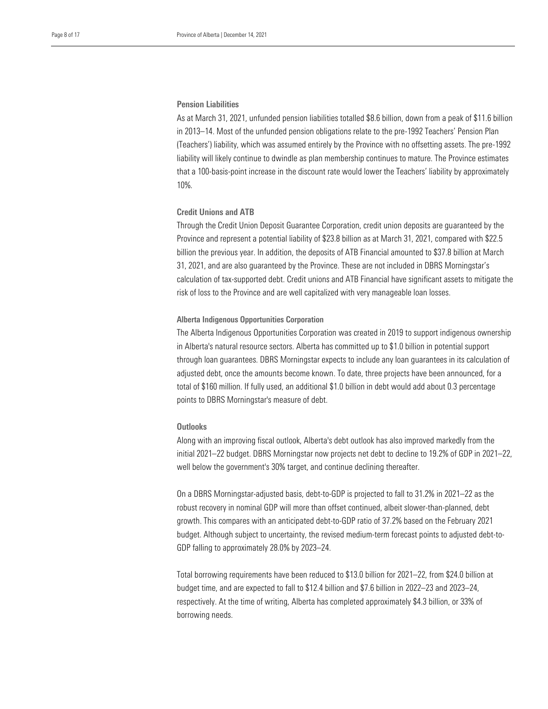# Pension Liabilities

As at March 31, 2021, unfunded pension liabilities totalled \$8.6 billion, down from a peak of \$11.6 billion in 2013–14. Most of the unfunded pension obligations relate to the pre-1992 Teachers' Pension Plan (Teachers') liability, which was assumed entirely by the Province with no offsetting assets. The pre-1992 liability will likely continue to dwindle as plan membership continues to mature. The Province estimates that a 100-basis-point increase in the discount rate would lower the Teachers' liability by approximately 10%.

# Credit Unions and ATB

Through the Credit Union Deposit Guarantee Corporation, credit union deposits are guaranteed by the Province and represent a potential liability of \$23.8 billion as at March 31, 2021, compared with \$22.5 billion the previous year. In addition, the deposits of ATB Financial amounted to \$37.8 billion at March 31, 2021, and are also guaranteed by the Province. These are not included in DBRS Morningstar's calculation of tax-supported debt. Credit unions and ATB Financial have significant assets to mitigate the risk of loss to the Province and are well capitalized with very manageable loan losses.

#### Alberta Indigenous Opportunities Corporation

The Alberta Indigenous Opportunities Corporation was created in 2019 to support indigenous ownership in Alberta's natural resource sectors. Alberta has committed up to \$1.0 billion in potential support through loan guarantees. DBRS Morningstar expects to include any loan guarantees in its calculation of adjusted debt, once the amounts become known. To date, three projects have been announced, for a total of \$160 million. If fully used, an additional \$1.0 billion in debt would add about 0.3 percentage points to DBRS Morningstar's measure of debt.

#### **Outlooks**

Along with an improving fiscal outlook, Alberta's debt outlook has also improved markedly from the initial 2021–22 budget. DBRS Morningstar now projects net debt to decline to 19.2% of GDP in 2021–22, well below the government's 30% target, and continue declining thereafter.

On a DBRS Morningstar-adjusted basis, debt-to-GDP is projected to fall to 31.2% in 2021–22 as the robust recovery in nominal GDP will more than offset continued, albeit slower-than-planned, debt growth. This compares with an anticipated debt-to-GDP ratio of 37.2% based on the February 2021 budget. Although subject to uncertainty, the revised medium-term forecast points to adjusted debt-to-GDP falling to approximately 28.0% by 2023–24.

Total borrowing requirements have been reduced to \$13.0 billion for 2021–22, from \$24.0 billion at budget time, and are expected to fall to \$12.4 billion and \$7.6 billion in 2022–23 and 2023–24, respectively. At the time of writing, Alberta has completed approximately \$4.3 billion, or 33% of borrowing needs.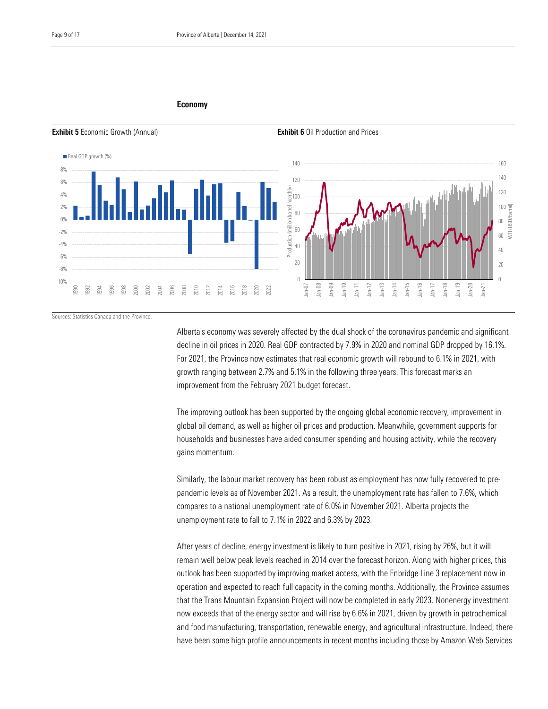#### Economy



Sources: Statistics Canada and the Province.

Alberta's economy was severely affected by the dual shock of the coronavirus pandemic and significant decline in oil prices in 2020. Real GDP contracted by 7.9% in 2020 and nominal GDP dropped by 16.1%. For 2021, the Province now estimates that real economic growth will rebound to 6.1% in 2021, with growth ranging between 2.7% and 5.1% in the following three years. This forecast marks an improvement from the February 2021 budget forecast.

The improving outlook has been supported by the ongoing global economic recovery, improvement in global oil demand, as well as higher oil prices and production. Meanwhile, government supports for households and businesses have aided consumer spending and housing activity, while the recovery gains momentum.

Similarly, the labour market recovery has been robust as employment has now fully recovered to prepandemic levels as of November 2021. As a result, the unemployment rate has fallen to 7.6%, which compares to a national unemployment rate of 6.0% in November 2021. Alberta projects the unemployment rate to fall to 7.1% in 2022 and 6.3% by 2023.

After years of decline, energy investment is likely to turn positive in 2021, rising by 26%, but it will remain well below peak levels reached in 2014 over the forecast horizon. Along with higher prices, this outlook has been supported by improving market access, with the Enbridge Line 3 replacement now in operation and expected to reach full capacity in the coming months. Additionally, the Province assumes that the Trans Mountain Expansion Project will now be completed in early 2023. Nonenergy investment now exceeds that of the energy sector and will rise by 6.6% in 2021, driven by growth in petrochemical and food manufacturing, transportation, renewable energy, and agricultural infrastructure. Indeed, there have been some high profile announcements in recent months including those by Amazon Web Services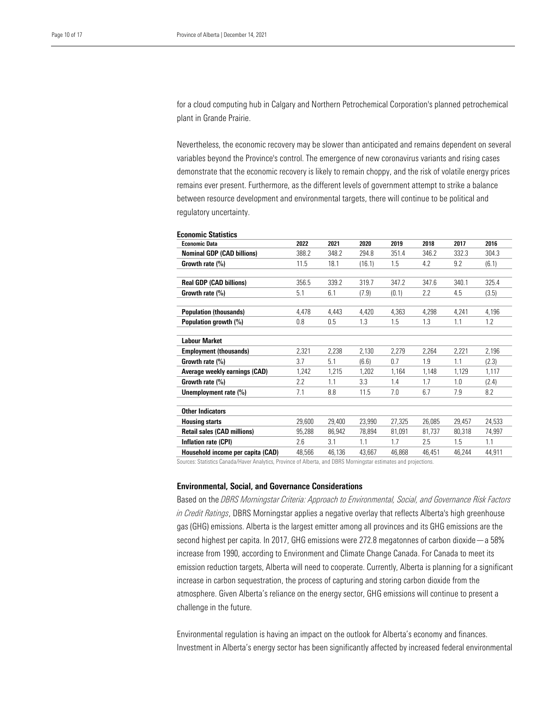for a cloud computing hub in Calgary and Northern Petrochemical Corporation's planned petrochemical plant in Grande Prairie.

Nevertheless, the economic recovery may be slower than anticipated and remains dependent on several variables beyond the Province's control. The emergence of new coronavirus variants and rising cases demonstrate that the economic recovery is likely to remain choppy, and the risk of volatile energy prices remains ever present. Furthermore, as the different levels of government attempt to strike a balance between resource development and environmental targets, there will continue to be political and regulatory uncertainty.

| ECUNUMIC STANSHES                  |        |        |        |        |        |        |        |
|------------------------------------|--------|--------|--------|--------|--------|--------|--------|
| <b>Economic Data</b>               | 2022   | 2021   | 2020   | 2019   | 2018   | 2017   | 2016   |
| <b>Nominal GDP (CAD billions)</b>  | 388.2  | 348.2  | 294.8  | 351.4  | 346.2  | 332.3  | 304.3  |
| Growth rate $(\%)$                 | 11.5   | 18.1   | (16.1) | 1.5    | 4.2    | 9.2    | (6.1)  |
| <b>Real GDP (CAD billions)</b>     | 356.5  | 339.2  | 319.7  | 347.2  | 347.6  | 340.1  | 325.4  |
| Growth rate (%)                    | 5.1    | 6.1    | (7.9)  | (0.1)  | 2.2    | 4.5    | (3.5)  |
| <b>Population (thousands)</b>      | 4,478  | 4,443  | 4,420  | 4,363  | 4,298  | 4,241  | 4,196  |
| Population growth (%)              | 0.8    | 0.5    | 1.3    | 1.5    | 1.3    | 1.1    | 1.2    |
| <b>Labour Market</b>               |        |        |        |        |        |        |        |
| <b>Employment (thousands)</b>      | 2,321  | 2,238  | 2,130  | 2,279  | 2,264  | 2,221  | 2,196  |
| Growth rate (%)                    | 3.7    | 5.1    | (6.6)  | 0.7    | 1.9    | 1.1    | (2.3)  |
| Average weekly earnings (CAD)      | 1,242  | 1,215  | 1,202  | 1,164  | 1,148  | 1,129  | 1,117  |
| Growth rate (%)                    | 2.2    | 1.1    | 3.3    | 1.4    | 1.7    | 1.0    | (2.4)  |
| Unemployment rate (%)              | 7.1    | 8.8    | 11.5   | 7.0    | 6.7    | 7.9    | 8.2    |
| <b>Other Indicators</b>            |        |        |        |        |        |        |        |
| <b>Housing starts</b>              | 29,600 | 29,400 | 23,990 | 27,325 | 26,085 | 29,457 | 24,533 |
| <b>Retail sales (CAD millions)</b> | 95,288 | 86,942 | 78,894 | 81,091 | 81,737 | 80,318 | 74,997 |
| Inflation rate (CPI)               | 2.6    | 3.1    | 1.1    | 1.7    | 2.5    | 1.5    | 1.1    |
| Household income per capita (CAD)  | 48,566 | 46,136 | 43,667 | 46,868 | 46,451 | 46,244 | 44,911 |

Economic Statistics

Sources: Statistics Canada/Haver Analytics, Province of Alberta, and DBRS Morningstar estimates and projections.

# Environmental, Social, and Governance Considerations

Based on the *DBRS Morningstar Criteria: Approach to Environmental, Social, and Governance Risk Factors in Credit Ratings*, DBRS Morningstar applies a negative overlay that reflects Alberta's high greenhouse gas (GHG) emissions. Alberta is the largest emitter among all provinces and its GHG emissions are the second highest per capita. In 2017, GHG emissions were 272.8 megatonnes of carbon dioxide—a 58% increase from 1990, according to Environment and Climate Change Canada. For Canada to meet its emission reduction targets, Alberta will need to cooperate. Currently, Alberta is planning for a significant increase in carbon sequestration, the process of capturing and storing carbon dioxide from the atmosphere. Given Alberta's reliance on the energy sector, GHG emissions will continue to present a challenge in the future.

Environmental regulation is having an impact on the outlook for Alberta's economy and finances. Investment in Alberta's energy sector has been significantly affected by increased federal environmental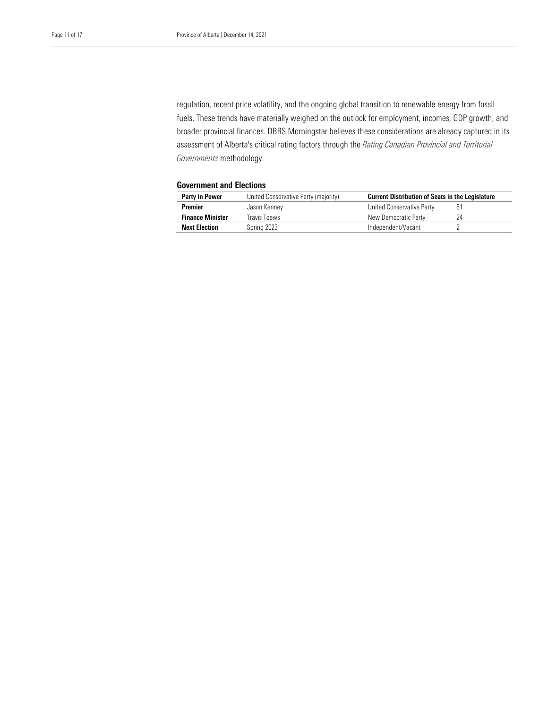regulation, recent price volatility, and the ongoing global transition to renewable energy from fossil fuels. These trends have materially weighed on the outlook for employment, incomes, GDP growth, and broader provincial finances. DBRS Morningstar believes these considerations are already captured in its assessment of Alberta's critical rating factors through the *Rating Canadian Provincial and Territorial Governments* methodology.

# Government and Elections

| United Conservative Party (majority)<br><b>Party in Power</b> |              | <b>Current Distribution of Seats in the Legislature</b> |    |  |  |  |
|---------------------------------------------------------------|--------------|---------------------------------------------------------|----|--|--|--|
| <b>Premier</b>                                                | Jason Kennev | United Conservative Party                               |    |  |  |  |
| <b>Finance Minister</b>                                       | Travis Toews | New Democratic Party                                    | 74 |  |  |  |
| <b>Next Election</b>                                          | Spring 2023  | Independent/Vacant                                      |    |  |  |  |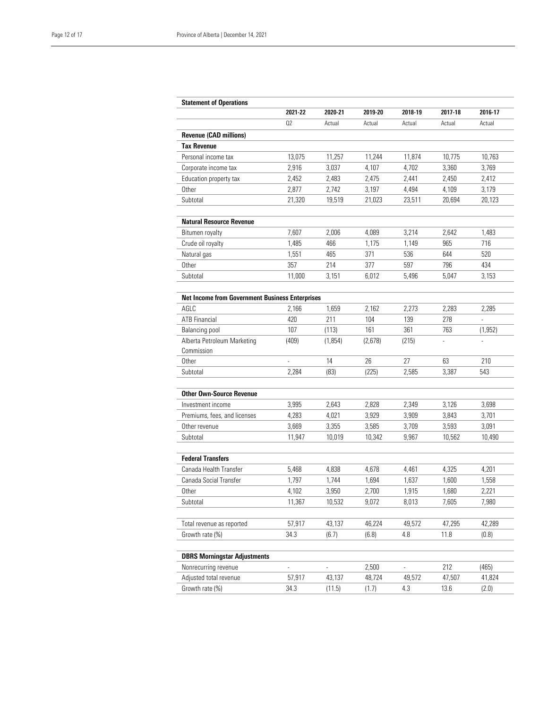|                                                        | 2021-22 | 2020-21 | 2019-20 | 2018-19 | 2017-18 | 2016-17  |
|--------------------------------------------------------|---------|---------|---------|---------|---------|----------|
|                                                        | 02      | Actual  | Actual  | Actual  | Actual  | Actual   |
| <b>Revenue (CAD millions)</b>                          |         |         |         |         |         |          |
| <b>Tax Revenue</b>                                     |         |         |         |         |         |          |
| Personal income tax                                    | 13.075  | 11,257  | 11,244  | 11,874  | 10.775  | 10,763   |
| Corporate income tax                                   | 2,916   | 3,037   | 4,107   | 4,702   | 3,360   | 3,769    |
| Education property tax                                 | 2,452   | 2,483   | 2,475   | 2,441   | 2,450   | 2,412    |
| <b>Other</b>                                           | 2,877   | 2,742   | 3,197   | 4,494   | 4,109   | 3,179    |
| Subtotal                                               | 21,320  | 19,519  | 21,023  | 23,511  | 20,694  | 20,123   |
| <b>Natural Resource Revenue</b>                        |         |         |         |         |         |          |
| Bitumen royalty                                        | 7,607   | 2,006   | 4,089   | 3,214   | 2,642   | 1,483    |
| Crude oil royalty                                      | 1,485   | 466     | 1,175   | 1,149   | 965     | 716      |
| Natural gas                                            | 1,551   | 465     | 371     | 536     | 644     | 520      |
| Other                                                  | 357     | 214     | 377     | 597     | 796     | 434      |
| Subtotal                                               | 11,000  | 3.151   | 6,012   | 5,496   | 5,047   | 3,153    |
| <b>Net Income from Government Business Enterprises</b> |         |         |         |         |         |          |
| AGI C                                                  | 2,166   | 1,659   | 2,162   | 2,273   | 2,283   | 2,285    |
| <b>ATB Financial</b>                                   | 420     | 211     | 104     | 139     | 278     |          |
| Balancing pool                                         | 107     | (113)   | 161     | 361     | 763     | (1, 952) |
| Alberta Petroleum Marketing                            | (409)   | (1,854) | (2,678) | (215)   |         |          |
| Commission                                             |         |         |         |         |         |          |
| <b>Other</b>                                           | L.      | 14      | 26      | 27      | 63      | 210      |
| Subtotal                                               | 2.284   | (83)    | (225)   | 2,585   | 3,387   | 543      |
| <b>Other Own-Source Revenue</b>                        |         |         |         |         |         |          |
| Investment income                                      | 3,995   | 2,643   | 2,828   | 2,349   | 3,126   | 3,698    |
| Premiums, fees, and licenses                           | 4,283   | 4,021   | 3,929   | 3,909   | 3,843   | 3,701    |
| Other revenue                                          | 3,669   | 3,355   | 3,585   | 3,709   | 3,593   | 3,091    |
| Subtotal                                               | 11,947  | 10,019  | 10,342  | 9,967   | 10,562  | 10,490   |
| <b>Federal Transfers</b>                               |         |         |         |         |         |          |
| Canada Health Transfer                                 | 5,468   | 4,838   | 4,678   | 4,461   | 4,325   | 4,201    |
| Canada Social Transfer                                 | 1,797   | 1,744   | 1,694   | 1,637   | 1,600   | 1,558    |
| Other                                                  | 4,102   | 3,950   | 2,700   | 1,915   | 1,680   | 2,221    |
| Subtotal                                               | 11,367  | 10,532  | 9,072   | 8,013   | 7,605   | 7,980    |
| Total revenue as reported                              | 57,917  | 43,137  | 46,224  | 49,572  | 47,295  | 42,289   |
| Growth rate (%)                                        | 34.3    | (6.7)   | (6.8)   | 4.8     | 11.8    | (0.8)    |
| <b>DBRS Morningstar Adjustments</b>                    |         |         |         |         |         |          |
| Nonrecurring revenue                                   |         |         | 2,500   |         | 212     | (465)    |
| Adjusted total revenue                                 | 57,917  | 43,137  | 48,724  | 49,572  | 47,507  | 41,824   |
|                                                        |         |         |         |         |         |          |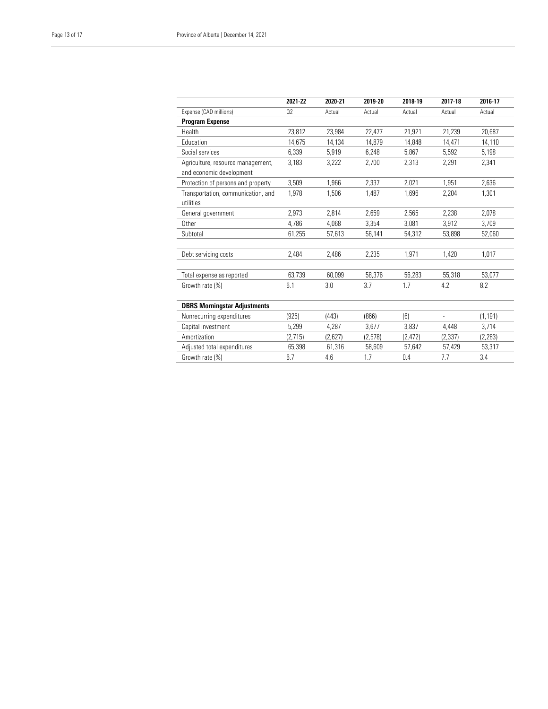|                                                 | 2021-22 | 2020-21 | 2019-20 | 2018-19  | 2017-18  | 2016-17  |
|-------------------------------------------------|---------|---------|---------|----------|----------|----------|
| Expense (CAD millions)                          | 02      | Actual  | Actual  | Actual   | Actual   | Actual   |
| <b>Program Expense</b>                          |         |         |         |          |          |          |
| Health                                          | 23,812  | 23.984  | 22,477  | 21.921   | 21,239   | 20.687   |
| Education                                       | 14.675  | 14,134  | 14.879  | 14.848   | 14,471   | 14,110   |
| Social services                                 | 6,339   | 5,919   | 6,248   | 5,867    | 5,592    | 5,198    |
| Agriculture, resource management,               | 3,183   | 3,222   | 2,700   | 2,313    | 2,291    | 2,341    |
| and economic development                        |         |         |         |          |          |          |
| Protection of persons and property              | 3,509   | 1.966   | 2.337   | 2.021    | 1,951    | 2.636    |
| Transportation, communication, and<br>utilities | 1.978   | 1,506   | 1.487   | 1.696    | 2,204    | 1,301    |
| General government                              | 2.973   | 2.814   | 2.659   | 2.565    | 2,238    | 2,078    |
| <b>Other</b>                                    | 4.786   | 4.068   | 3,354   | 3.081    | 3,912    | 3,709    |
| Subtotal                                        | 61,255  | 57,613  | 56,141  | 54,312   | 53,898   | 52,060   |
| Debt servicing costs                            | 2,484   | 2,486   | 2,235   | 1,971    | 1,420    | 1,017    |
| Total expense as reported                       | 63,739  | 60,099  | 58,376  | 56,283   | 55,318   | 53,077   |
| Growth rate (%)                                 | 6.1     | 3.0     | 3.7     | 1.7      | 4.2      | 8.2      |
| <b>DBRS Morningstar Adjustments</b>             |         |         |         |          |          |          |
| Nonrecurring expenditures                       | (925)   | (443)   | (866)   | (6)      |          | (1, 191) |
| Capital investment                              | 5,299   | 4,287   | 3,677   | 3,837    | 4,448    | 3,714    |
| Amortization                                    | (2,715) | (2,627) | (2,578) | (2, 472) | (2, 337) | (2, 283) |
| Adjusted total expenditures                     | 65,398  | 61,316  | 58,609  | 57,642   | 57,429   | 53,317   |
| Growth rate (%)                                 | 6.7     | 4.6     | 1.7     | 0.4      | 7.7      | 3.4      |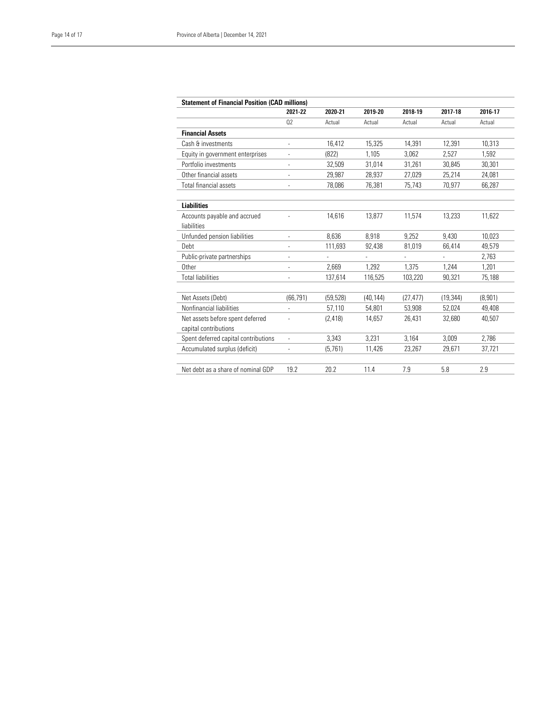| <b>Statement of Financial Position (CAD millions)</b> | 2021-22                  | 2020-21   | 2019-20   | 2018-19        | 2017-18                  | 2016-17 |
|-------------------------------------------------------|--------------------------|-----------|-----------|----------------|--------------------------|---------|
|                                                       | 02                       | Actual    | Actual    | Actual         | Actual                   | Actual  |
| <b>Financial Assets</b>                               |                          |           |           |                |                          |         |
| Cash & investments                                    | ٠                        | 16.412    | 15,325    | 14,391         | 12.391                   | 10.313  |
| Equity in government enterprises                      |                          | (822)     | 1.105     | 3.062          | 2.527                    | 1.592   |
| Portfolio investments                                 |                          | 32,509    | 31.014    | 31.261         | 30,845                   | 30,301  |
| Other financial assets                                | $\overline{a}$           | 29,987    | 28,937    | 27,029         | 25,214                   | 24,081  |
| <b>Total financial assets</b>                         | $\overline{\phantom{0}}$ | 78,086    | 76,381    | 75,743         | 70,977                   | 66,287  |
| <b>Liabilities</b>                                    |                          |           |           |                |                          |         |
| Accounts payable and accrued                          |                          | 14,616    | 13,877    | 11,574         | 13,233                   | 11,622  |
| liabilities                                           |                          |           |           |                |                          |         |
| Unfunded pension liabilities                          | $\overline{a}$           | 8,636     | 8,918     | 9.252          | 9,430                    | 10,023  |
| Debt                                                  |                          | 111,693   | 92,438    | 81,019         | 66,414                   | 49,579  |
| Public-private partnerships                           |                          |           | ٠         | $\overline{a}$ | $\overline{\phantom{a}}$ | 2,763   |
| Other                                                 | $\overline{\phantom{0}}$ | 2.669     | 1.292     | 1.375          | 1.244                    | 1,201   |
| <b>Total liabilities</b>                              | $\overline{a}$           | 137,614   | 116,525   | 103,220        | 90,321                   | 75,188  |
|                                                       |                          |           |           |                |                          |         |
| Net Assets (Debt)                                     | (66, 791)                | (59, 528) | (40, 144) | (27, 477)      | (19, 344)                | (8,901) |
| Nonfinancial liabilities                              |                          | 57,110    | 54,801    | 53,908         | 52,024                   | 49,408  |
| Net assets before spent deferred                      |                          | (2, 418)  | 14.657    | 26.431         | 32.680                   | 40.507  |
| capital contributions                                 |                          |           |           |                |                          |         |
| Spent deferred capital contributions                  | $\overline{\phantom{a}}$ | 3.343     | 3.231     | 3.164          | 3.009                    | 2.786   |
| Accumulated surplus (deficit)                         | $\overline{\phantom{0}}$ | (5, 761)  | 11,426    | 23,267         | 29,671                   | 37,721  |
| Net debt as a share of nominal GDP                    | 19.2                     | 20.2      | 11.4      | 7.9            | 5.8                      | 2.9     |
|                                                       |                          |           |           |                |                          |         |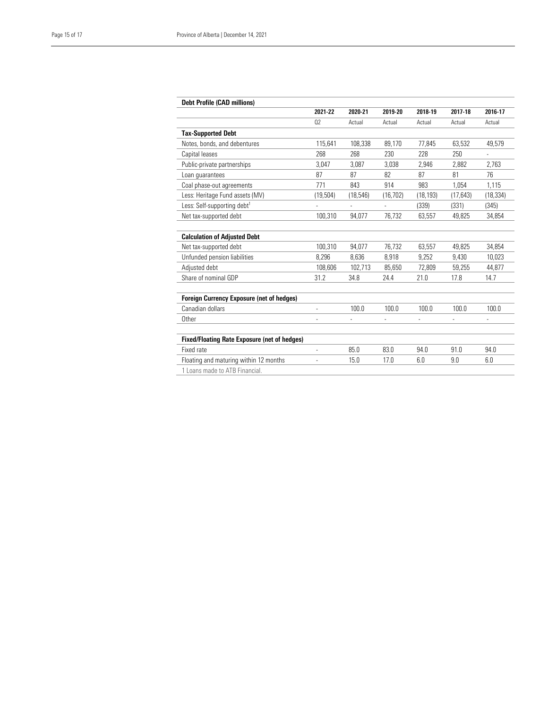| <b>Debt Profile (CAD millions)</b>                  |                |                |                          |           |                |                |
|-----------------------------------------------------|----------------|----------------|--------------------------|-----------|----------------|----------------|
|                                                     | 2021-22        | 2020-21        | 2019-20                  | 2018-19   | 2017-18        | 2016-17        |
|                                                     | 02             | Actual         | Actual                   | Actual    | Actual         | Actual         |
| <b>Tax-Supported Debt</b>                           |                |                |                          |           |                |                |
| Notes, bonds, and debentures                        | 115,641        | 108,338        | 89,170                   | 77,845    | 63,532         | 49,579         |
| Capital leases                                      | 268            | 268            | 230                      | 228       | 250            | ÷              |
| Public-private partnerships                         | 3,047          | 3,087          | 3,038                    | 2,946     | 2,882          | 2,763          |
| Loan quarantees                                     | 87             | 87             | 82                       | 87        | 81             | 76             |
| Coal phase-out agreements                           | 771            | 843            | 914                      | 983       | 1.054          | 1,115          |
| Less: Heritage Fund assets (MV)                     | (19, 504)      | (18, 546)      | (16, 702)                | (18, 193) | (17, 643)      | (18, 334)      |
| Less: Self-supporting debt <sup>1</sup>             | $\frac{1}{2}$  | $\overline{a}$ | $\overline{\phantom{a}}$ | (339)     | (331)          | (345)          |
| Net tax-supported debt                              | 100,310        | 94,077         | 76,732                   | 63,557    | 49,825         | 34,854         |
|                                                     |                |                |                          |           |                |                |
| <b>Calculation of Adjusted Debt</b>                 |                |                |                          |           |                |                |
| Net tax-supported debt                              | 100,310        | 94.077         | 76,732                   | 63,557    | 49,825         | 34,854         |
| Unfunded pension liabilities                        | 8,296          | 8,636          | 8,918                    | 9,252     | 9,430          | 10,023         |
| Adjusted debt                                       | 108,606        | 102,713        | 85,650                   | 72,809    | 59,255         | 44,877         |
| Share of nominal GDP                                | 31.2           | 34.8           | 24.4                     | 21.0      | 17.8           | 14.7           |
|                                                     |                |                |                          |           |                |                |
| <b>Foreign Currency Exposure (net of hedges)</b>    |                |                |                          |           |                |                |
| Canadian dollars                                    | $\overline{a}$ | 100.0          | 100.0                    | 100.0     | 100.0          | 100.0          |
| Other                                               | $\overline{a}$ | $\overline{a}$ | L.                       |           | $\overline{a}$ | $\overline{a}$ |
|                                                     |                |                |                          |           |                |                |
| <b>Fixed/Floating Rate Exposure (net of hedges)</b> |                |                |                          |           |                |                |
| Fixed rate                                          | $\overline{a}$ | 85.0           | 83.0                     | 94.0      | 91.0           | 94.0           |
| Floating and maturing within 12 months              | $\frac{1}{2}$  | 15.0           | 17.0                     | 6.0       | 9.0            | 6.0            |
| 1 Loans made to ATB Financial.                      |                |                |                          |           |                |                |
|                                                     |                |                |                          |           |                |                |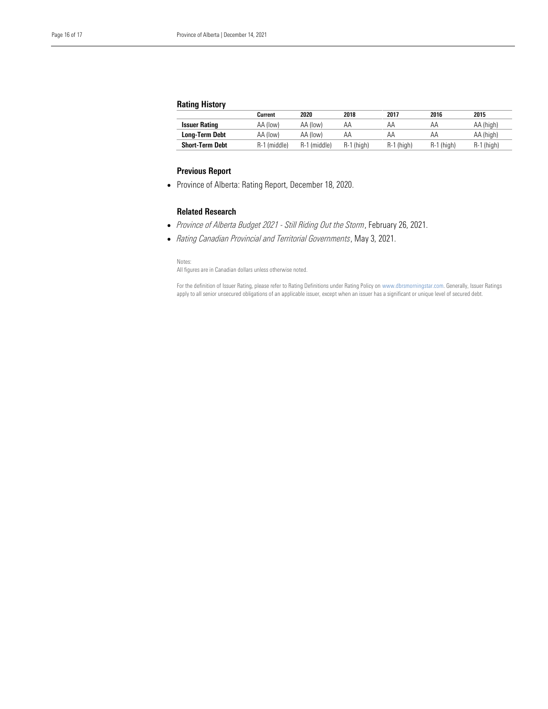# Rating History

|                        | Current      | 2020         | 2018       | 2017         | 2016       | 2015         |
|------------------------|--------------|--------------|------------|--------------|------------|--------------|
| <b>Issuer Rating</b>   | AA (low)     | AA (low)     | AΑ         | AΑ           | АΑ         | AA (high)    |
| <b>Long-Term Debt</b>  | AA (low)     | AA (low)     | AΑ         | АΑ           | АΑ         | AA (high)    |
| <b>Short-Term Debt</b> | R-1 (middle) | R-1 (middle) | R-1 (high) | $R-1$ (high) | R-1 (high) | $R-1$ (high) |

# Previous Report

• Province of Alberta: Rating Report, December 18, 2020.

# Related Research

- *Province of Alberta Budget 2021 - Still Riding Out the Storm*, February 26, 2021.
- *Rating Canadian Provincial and Territorial Governments*, May 3, 2021.

Notes:

All figures are in Canadian dollars unless otherwise noted.

For the definition of Issuer Rating, please refer to Rating Definitions under Rating Policy on www.dbrsmorningstar.com. Generally, Issuer Ratings apply to all senior unsecured obligations of an applicable issuer, except when an issuer has a significant or unique level of secured debt.